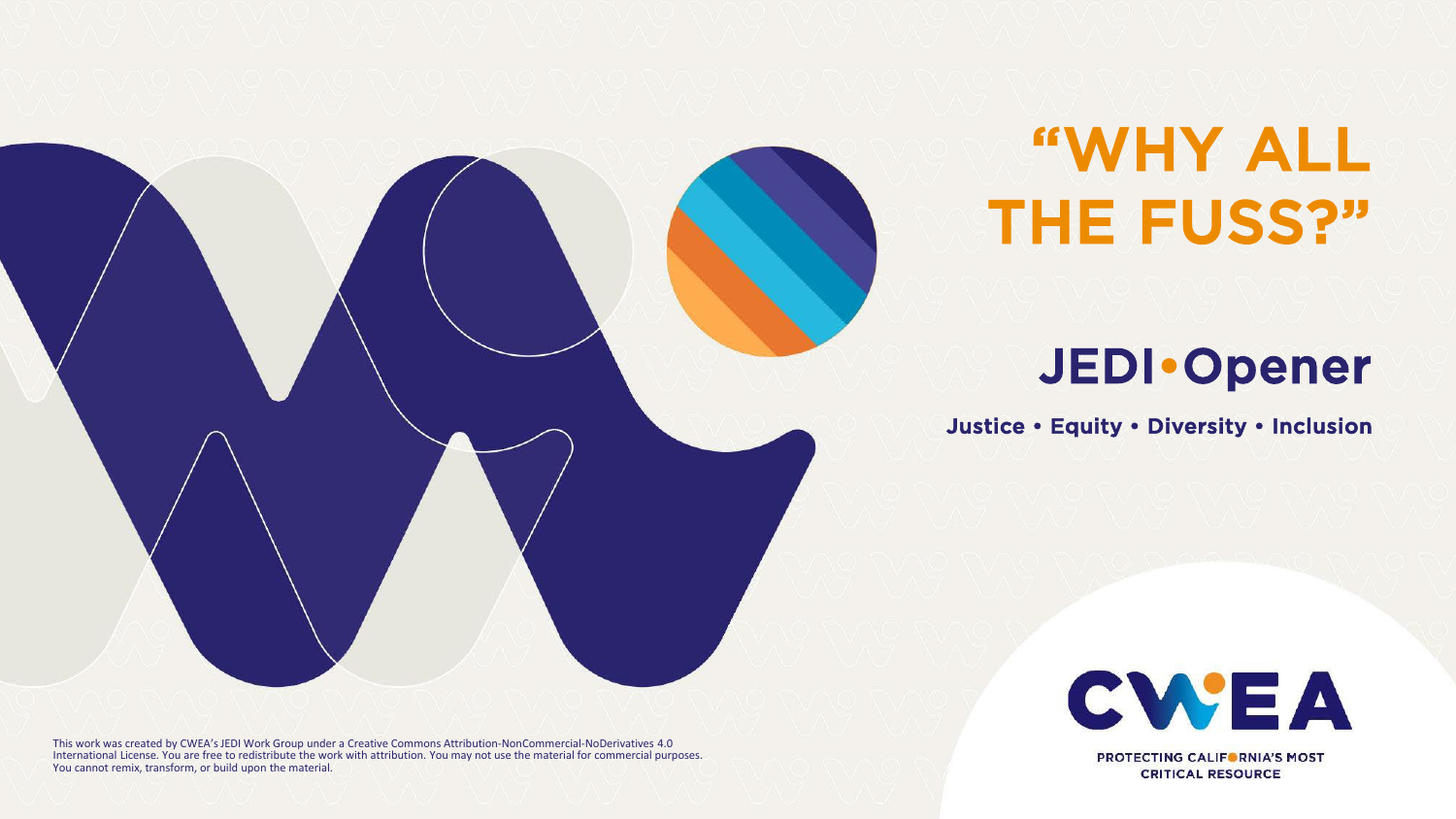

## "WHY ALL THE FUSS?"

## JEDI•Opener

Justice • Equity • Diversity • Inclusion



**PROTECTING CALIFORNIA'S MOST CRITICAL RESOURCE** 

This work was created by CWEA's JEDI Work Group under a Creative Commons Attribution-NonCommercial-NoDerivatives 4.0 International License. You are free to redistribute the work with attribution. You may not use the material for commercial purposes. You cannot remix, transform, or build upon the material.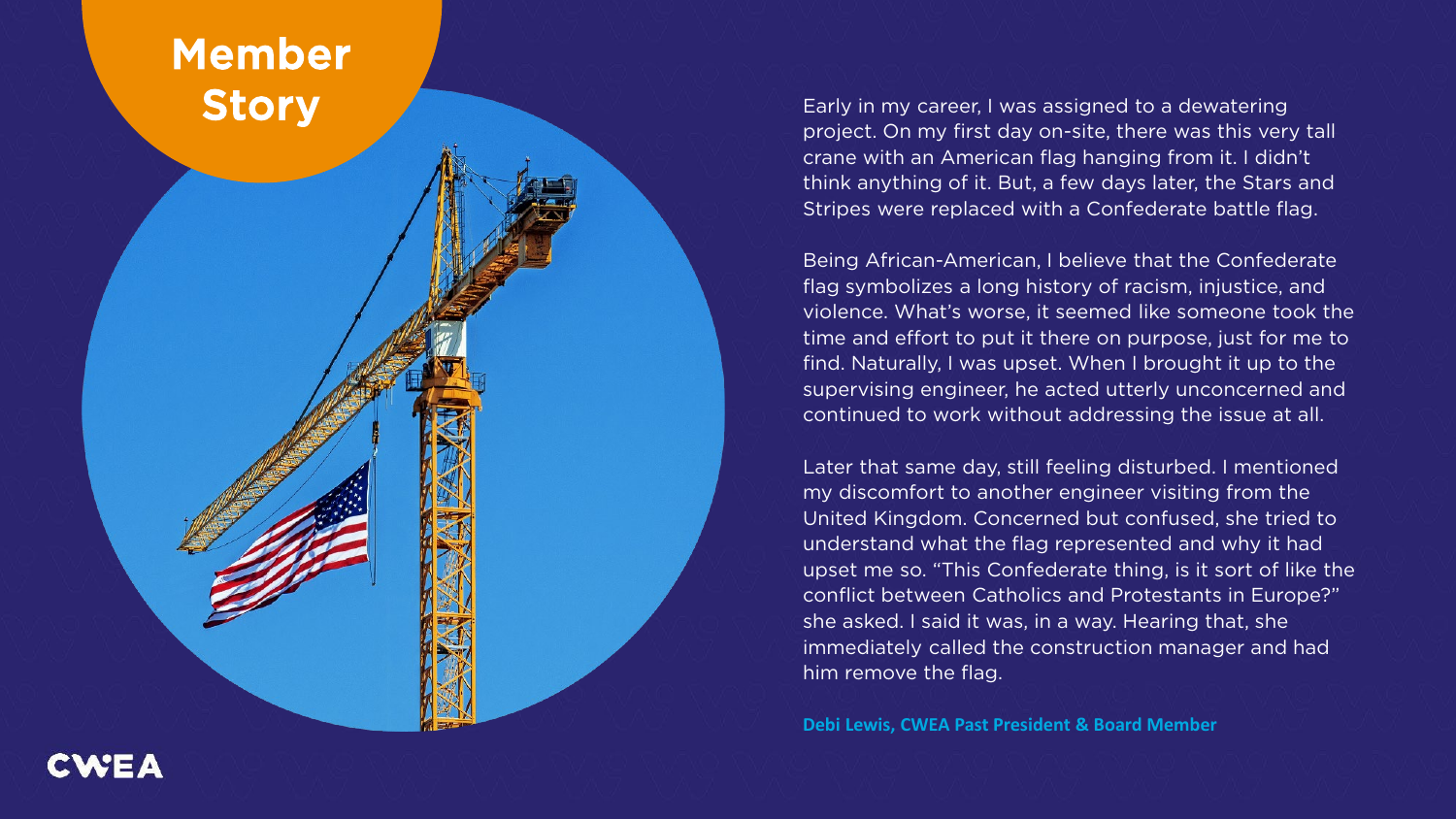### Member **Story**

Early in my career, I was assigned to a dewatering project. On my first day on -site, there was this very tall crane with an American flag hanging from it. I didn't think anything of it. But, a few days later, the Stars and Stripes were replaced with a Confederate battle flag.

Being African -American, I believe that the Confederate flag symbolizes a long history of racism, injustice, and violence. What's worse, it seemed like someone took the time and effort to put it there on purpose, just for me to find. Naturally, I was upset. When I brought it up to the supervising engineer, he acted utterly unconcerned and continued to work without addressing the issue at all.

Later that same day, still feeling disturbed. I mentioned my discomfort to another engineer visiting from the United Kingdom. Concerned but confused, she tried to understand what the flag represented and why it had upset me so. "This Confederate thing, is it sort of like the conflict between Catholics and Protestants in Europe?" she asked. I said it was, in a way. Hearing that, she immediately called the construction manager and had him remove the flag.

**Debi Lewis, CWEA Past President & Board Member**

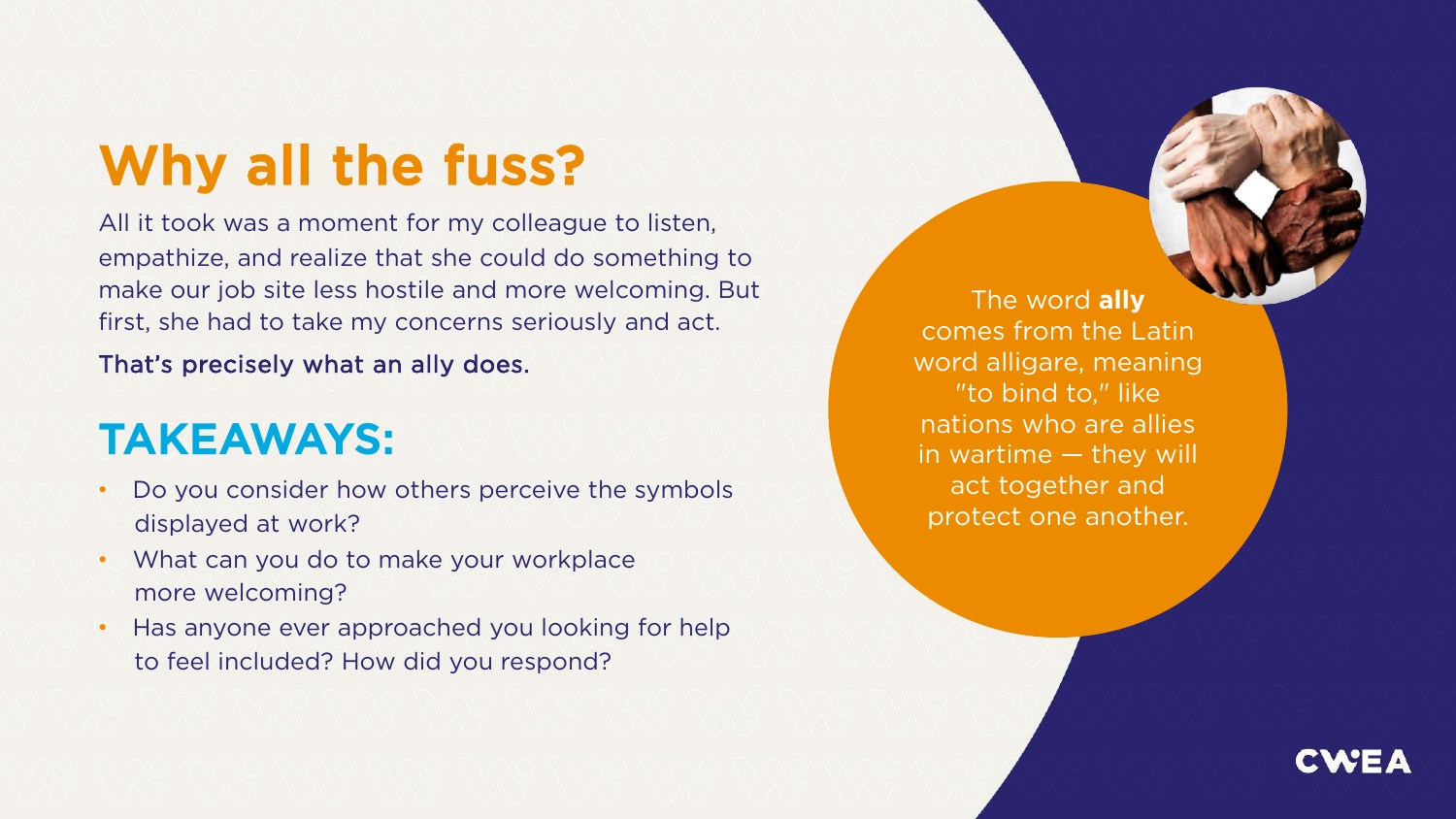## Why all the fuss?

All it took was a moment for my colleague to listen, empathize, and realize that she could do something to make our job site less hostile and more welcoming. But first, she had to take my concerns seriously and act.

That's precisely what an ally does.

## TAKEAWAYS:

- Do you consider how others perceive the symbols displayed at work?
- What can you do to make your workplace more welcoming?
- Has anyone ever approached you looking for help to feel included? How did you respond?

The word **ally** comes from the Latin word alligare, meaning "to bind to," like nations who are allies in wartime — they will act together and protect one another.